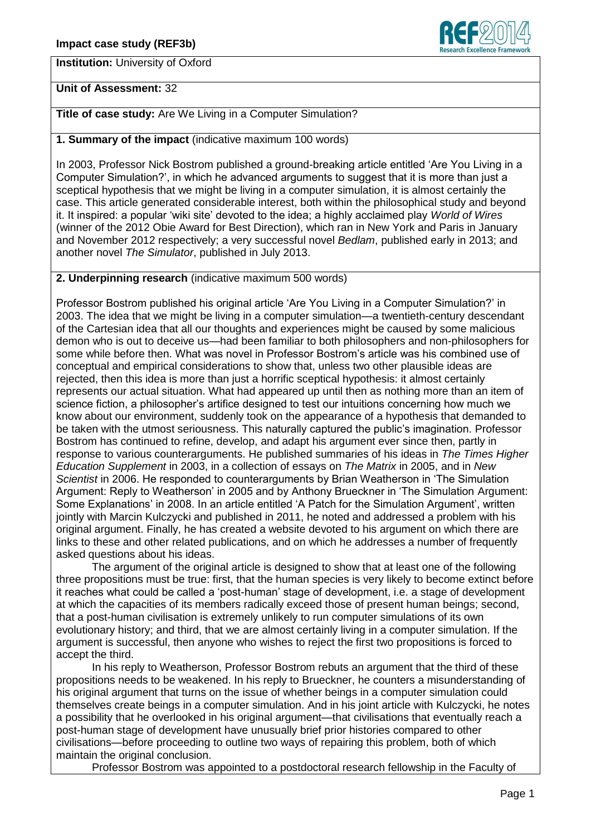**Institution:** University of Oxford



## **Unit of Assessment:** 32

# **Title of case study:** Are We Living in a Computer Simulation?

### **1. Summary of the impact** (indicative maximum 100 words)

In 2003, Professor Nick Bostrom published a ground-breaking article entitled 'Are You Living in a Computer Simulation?', in which he advanced arguments to suggest that it is more than just a sceptical hypothesis that we might be living in a computer simulation, it is almost certainly the case. This article generated considerable interest, both within the philosophical study and beyond it. It inspired: a popular ‗wiki site' devoted to the idea; a highly acclaimed play *World of Wires* (winner of the 2012 Obie Award for Best Direction), which ran in New York and Paris in January and November 2012 respectively; a very successful novel *Bedlam*, published early in 2013; and another novel *The Simulator*, published in July 2013.

## **2. Underpinning research** (indicative maximum 500 words)

Professor Bostrom published his original article ‗Are You Living in a Computer Simulation?' in 2003. The idea that we might be living in a computer simulation—a twentieth-century descendant of the Cartesian idea that all our thoughts and experiences might be caused by some malicious demon who is out to deceive us—had been familiar to both philosophers and non-philosophers for some while before then. What was novel in Professor Bostrom's article was his combined use of conceptual and empirical considerations to show that, unless two other plausible ideas are rejected, then this idea is more than just a horrific sceptical hypothesis: it almost certainly represents our actual situation. What had appeared up until then as nothing more than an item of science fiction, a philosopher's artifice designed to test our intuitions concerning how much we know about our environment, suddenly took on the appearance of a hypothesis that demanded to be taken with the utmost seriousness. This naturally captured the public's imagination. Professor Bostrom has continued to refine, develop, and adapt his argument ever since then, partly in response to various counterarguments. He published summaries of his ideas in *The Times Higher Education Supplement* in 2003, in a collection of essays on *The Matrix* in 2005, and in *New Scientist* in 2006. He responded to counterarguments by Brian Weatherson in ‗The Simulation Argument: Reply to Weatherson' in 2005 and by Anthony Brueckner in 'The Simulation Argument: Some Explanations' in 2008. In an article entitled ‗A Patch for the Simulation Argument', written jointly with Marcin Kulczycki and published in 2011, he noted and addressed a problem with his original argument. Finally, he has created a website devoted to his argument on which there are links to these and other related publications, and on which he addresses a number of frequently asked questions about his ideas.

The argument of the original article is designed to show that at least one of the following three propositions must be true: first, that the human species is very likely to become extinct before it reaches what could be called a 'post-human' stage of development, i.e. a stage of development at which the capacities of its members radically exceed those of present human beings; second, that a post-human civilisation is extremely unlikely to run computer simulations of its own evolutionary history; and third, that we are almost certainly living in a computer simulation. If the argument is successful, then anyone who wishes to reject the first two propositions is forced to accept the third.

In his reply to Weatherson, Professor Bostrom rebuts an argument that the third of these propositions needs to be weakened. In his reply to Brueckner, he counters a misunderstanding of his original argument that turns on the issue of whether beings in a computer simulation could themselves create beings in a computer simulation. And in his joint article with Kulczycki, he notes a possibility that he overlooked in his original argument—that civilisations that eventually reach a post-human stage of development have unusually brief prior histories compared to other civilisations—before proceeding to outline two ways of repairing this problem, both of which maintain the original conclusion.

Professor Bostrom was appointed to a postdoctoral research fellowship in the Faculty of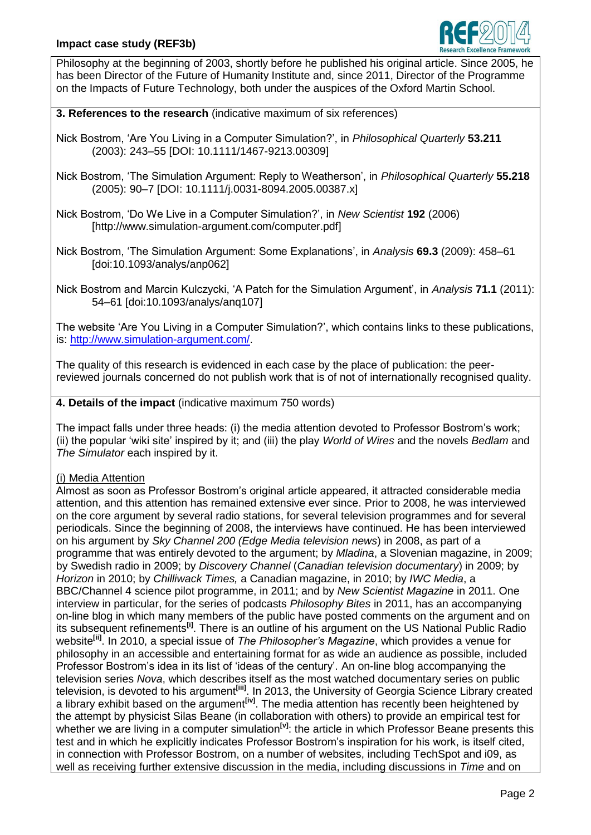

Philosophy at the beginning of 2003, shortly before he published his original article. Since 2005, he has been Director of the Future of Humanity Institute and, since 2011, Director of the Programme on the Impacts of Future Technology, both under the auspices of the Oxford Martin School.

**3. References to the research** (indicative maximum of six references)

Nick Bostrom, ‗Are You Living in a Computer Simulation?', in *Philosophical Quarterly* **53.211** (2003): 243–55 [DOI: 10.1111/1467-9213.00309]

Nick Bostrom, ‗The Simulation Argument: Reply to Weatherson', in *Philosophical Quarterly* **55.218** (2005): 90–7 [DOI: 10.1111/j.0031-8094.2005.00387.x]

Nick Bostrom, ‗Do We Live in a Computer Simulation?', in *New Scientist* **192** (2006) [http://www.simulation-argument.com/computer.pdf]

Nick Bostrom, 'The Simulation Argument: Some Explanations', in *Analysis* 69.3 (2009): 458–61 [doi:10.1093/analys/anp062]

Nick Bostrom and Marcin Kulczycki, ‗A Patch for the Simulation Argument', in *Analysis* **71.1** (2011): 54–61 [doi:10.1093/analys/anq107]

The website 'Are You Living in a Computer Simulation?', which contains links to these publications, is: [http://www.simulation-argument.com/.](http://www.simulation-argument.com/)

The quality of this research is evidenced in each case by the place of publication: the peerreviewed journals concerned do not publish work that is of not of internationally recognised quality.

**4. Details of the impact** (indicative maximum 750 words)

The impact falls under three heads: (i) the media attention devoted to Professor Bostrom's work; (ii) the popular ‗wiki site' inspired by it; and (iii) the play *World of Wires* and the novels *Bedlam* and *The Simulator* each inspired by it.

### (i) Media Attention

Almost as soon as Professor Bostrom's original article appeared, it attracted considerable media attention, and this attention has remained extensive ever since. Prior to 2008, he was interviewed on the core argument by several radio stations, for several television programmes and for several periodicals. Since the beginning of 2008, the interviews have continued. He has been interviewed on his argument by *Sky Channel 200 (Edge Media television news*) in 2008, as part of a programme that was entirely devoted to the argument; by *Mladina*, a Slovenian magazine, in 2009; by Swedish radio in 2009; by *Discovery Channel* (*Canadian television documentary*) in 2009; by *Horizon* in 2010; by *Chilliwack Times,* a Canadian magazine, in 2010; by *IWC Media*, a BBC/Channel 4 science pilot programme, in 2011; and by *New Scientist Magazine* in 2011. One interview in particular, for the series of podcasts *Philosophy Bites* in 2011, has an accompanying on-line blog in which many members of the public have posted comments on the argument and on its subsequent refinements**[i]** . There is an outline of his argument on the US National Public Radio website<sup>[ii]</sup>. In 2010, a special issue of *The Philosopher's Magazine*, which provides a venue for philosophy in an accessible and entertaining format for as wide an audience as possible, included Professor Bostrom's idea in its list of 'ideas of the century'. An on-line blog accompanying the television series *Nova*, which describes itself as the most watched documentary series on public television, is devoted to his argument**[iii]** . In 2013, the University of Georgia Science Library created a library exhibit based on the argument<sup>[iv]</sup>. The media attention has recently been heightened by the attempt by physicist Silas Beane (in collaboration with others) to provide an empirical test for whether we are living in a computer simulation<sup>[v]</sup>: the article in which Professor Beane presents this test and in which he explicitly indicates Professor Bostrom's inspiration for his work, is itself cited, in connection with Professor Bostrom, on a number of websites, including TechSpot and i09, as well as receiving further extensive discussion in the media, including discussions in *Time* and on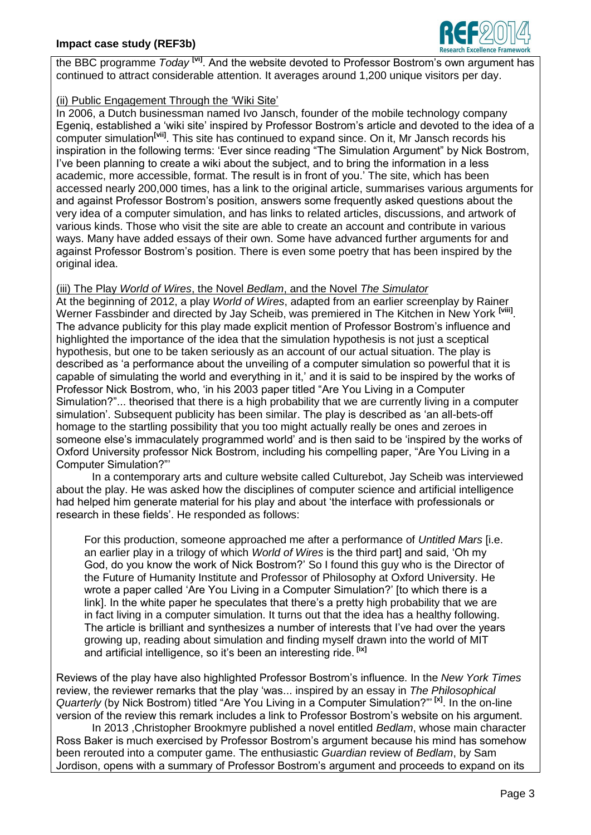

the BBC programme *Today*<sup>[vi]</sup>. And the website devoted to Professor Bostrom's own argument has continued to attract considerable attention. It averages around 1,200 unique visitors per day.

## (ii) Public Engagement Through the 'Wiki Site'

In 2006, a Dutch businessman named Ivo Jansch, founder of the mobile technology company Egenig, established a 'wiki site' inspired by Professor Bostrom's article and devoted to the idea of a computer simulation<sup>[vii]</sup>. This site has continued to expand since. On it, Mr Jansch records his inspiration in the following terms: 'Ever since reading "The Simulation Argument" by Nick Bostrom, I've been planning to create a wiki about the subject, and to bring the information in a less academic, more accessible, format. The result is in front of you.' The site, which has been accessed nearly 200,000 times, has a link to the original article, summarises various arguments for and against Professor Bostrom's position, answers some frequently asked questions about the very idea of a computer simulation, and has links to related articles, discussions, and artwork of various kinds. Those who visit the site are able to create an account and contribute in various ways. Many have added essays of their own. Some have advanced further arguments for and against Professor Bostrom's position. There is even some poetry that has been inspired by the original idea.

### (iii) The Play *World of Wires*, the Novel *Bedlam*, and the Novel *The Simulator*

At the beginning of 2012, a play *World of Wires*, adapted from an earlier screenplay by Rainer Werner Fassbinder and directed by Jay Scheib, was premiered in The Kitchen in New York **[viii]** . The advance publicity for this play made explicit mention of Professor Bostrom's influence and highlighted the importance of the idea that the simulation hypothesis is not just a sceptical hypothesis, but one to be taken seriously as an account of our actual situation. The play is described as ‗a performance about the unveiling of a computer simulation so powerful that it is capable of simulating the world and everything in it,' and it is said to be inspired by the works of Professor Nick Bostrom, who, 'in his 2003 paper titled "Are You Living in a Computer Simulation?"... theorised that there is a high probability that we are currently living in a computer simulation'. Subsequent publicity has been similar. The play is described as 'an all-bets-off homage to the startling possibility that you too might actually really be ones and zeroes in someone else's immaculately programmed world' and is then said to be 'inspired by the works of Oxford University professor Nick Bostrom, including his compelling paper, "Are You Living in a Computer Simulation?"

In a contemporary arts and culture website called Culturebot, Jay Scheib was interviewed about the play. He was asked how the disciplines of computer science and artificial intelligence had helped him generate material for his play and about 'the interface with professionals or research in these fields'. He responded as follows:

For this production, someone approached me after a performance of *Untitled Mars* [i.e. an earlier play in a trilogy of which *World of Wires* is the third part] and said, ‗Oh my God, do you know the work of Nick Bostrom?' So I found this guy who is the Director of the Future of Humanity Institute and Professor of Philosophy at Oxford University. He wrote a paper called 'Are You Living in a Computer Simulation?' [to which there is a link]. In the white paper he speculates that there's a pretty high probability that we are in fact living in a computer simulation. It turns out that the idea has a healthy following. The article is brilliant and synthesizes a number of interests that I've had over the years growing up, reading about simulation and finding myself drawn into the world of MIT and artificial intelligence, so it's been an interesting ride. **[ix]**

Reviews of the play have also highlighted Professor Bostrom's influence. In the *New York Times* review, the reviewer remarks that the play 'was... inspired by an essay in *The Philosophical Quarterly* (by Nick Bostrom) titled "Are You Living in a Computer Simulation?"<sup>[x]</sup>. In the on-line version of the review this remark includes a link to Professor Bostrom's website on his argument.

In 2013 ,Christopher Brookmyre published a novel entitled *Bedlam*, whose main character Ross Baker is much exercised by Professor Bostrom's argument because his mind has somehow been rerouted into a computer game. The enthusiastic *Guardian* review of *Bedlam*, by Sam Jordison, opens with a summary of Professor Bostrom's argument and proceeds to expand on its